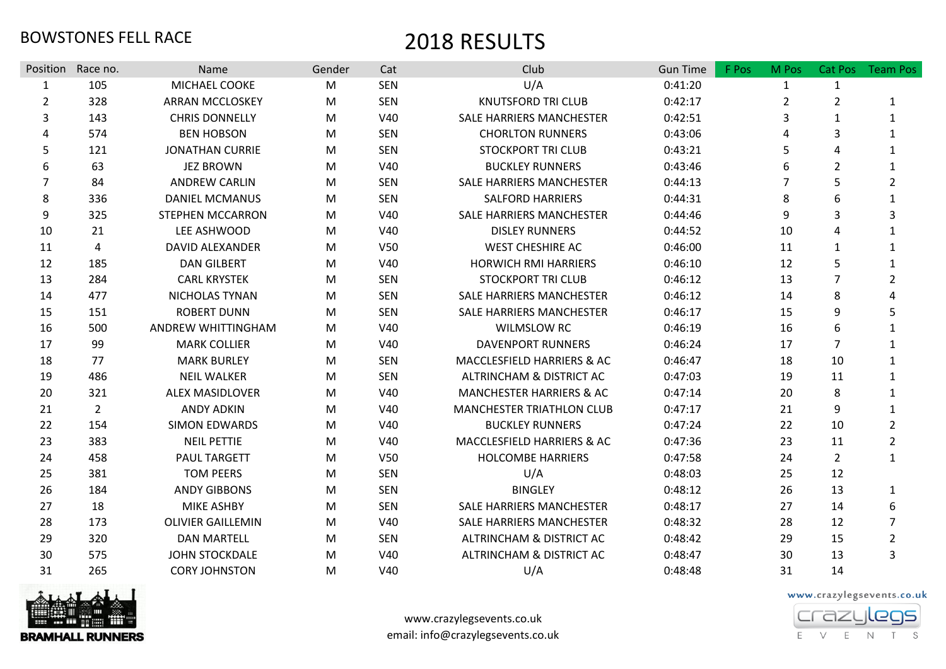| Position       | Race no.       | <b>Name</b>              | Gender    | Cat             | Club                                | <b>Gun Time</b> | F Pos | M Pos          |                | Cat Pos Team Pos |
|----------------|----------------|--------------------------|-----------|-----------------|-------------------------------------|-----------------|-------|----------------|----------------|------------------|
| $\mathbf{1}$   | 105            | MICHAEL COOKE            | M         | <b>SEN</b>      | U/A                                 | 0:41:20         |       | $\mathbf{1}$   | $\mathbf{1}$   |                  |
| $\overline{2}$ | 328            | <b>ARRAN MCCLOSKEY</b>   | M         | <b>SEN</b>      | <b>KNUTSFORD TRI CLUB</b>           | 0:42:17         |       | $\overline{2}$ | $\overline{2}$ |                  |
| 3              | 143            | <b>CHRIS DONNELLY</b>    | M         | V40             | SALE HARRIERS MANCHESTER            | 0:42:51         |       | 3              | $\mathbf{1}$   | 1                |
| 4              | 574            | <b>BEN HOBSON</b>        | M         | <b>SEN</b>      | <b>CHORLTON RUNNERS</b>             | 0:43:06         |       | 4              | 3              |                  |
| 5              | 121            | <b>JONATHAN CURRIE</b>   | M         | <b>SEN</b>      | <b>STOCKPORT TRI CLUB</b>           | 0:43:21         |       | 5              | 4              |                  |
| 6              | 63             | <b>JEZ BROWN</b>         | M         | V40             | <b>BUCKLEY RUNNERS</b>              | 0:43:46         |       | 6              | $\overline{2}$ | 1                |
| 7              | 84             | <b>ANDREW CARLIN</b>     | M         | <b>SEN</b>      | SALE HARRIERS MANCHESTER            | 0:44:13         |       | $\overline{7}$ | 5              | $\overline{2}$   |
| 8              | 336            | <b>DANIEL MCMANUS</b>    | М         | <b>SEN</b>      | <b>SALFORD HARRIERS</b>             | 0:44:31         |       | 8              | 6              |                  |
| 9              | 325            | <b>STEPHEN MCCARRON</b>  | M         | V40             | SALE HARRIERS MANCHESTER            | 0:44:46         |       | 9              | 3              | 3                |
| 10             | 21             | LEE ASHWOOD              | M         | V40             | <b>DISLEY RUNNERS</b>               | 0:44:52         |       | 10             | Δ              |                  |
| 11             | 4              | DAVID ALEXANDER          | M         | <b>V50</b>      | <b>WEST CHESHIRE AC</b>             | 0:46:00         |       | 11             | $\mathbf{1}$   |                  |
| 12             | 185            | <b>DAN GILBERT</b>       | M         | V40             | <b>HORWICH RMI HARRIERS</b>         | 0:46:10         |       | 12             | 5              | 1                |
| 13             | 284            | <b>CARL KRYSTEK</b>      | M         | <b>SEN</b>      | <b>STOCKPORT TRI CLUB</b>           | 0:46:12         |       | 13             | $\overline{7}$ | $\overline{2}$   |
| 14             | 477            | NICHOLAS TYNAN           | ${\sf M}$ | <b>SEN</b>      | SALE HARRIERS MANCHESTER            | 0:46:12         |       | 14             | 8              | 4                |
| 15             | 151            | <b>ROBERT DUNN</b>       | M         | <b>SEN</b>      | SALE HARRIERS MANCHESTER            | 0:46:17         |       | 15             | 9              | 5                |
| 16             | 500            | ANDREW WHITTINGHAM       | M         | V40             | <b>WILMSLOW RC</b>                  | 0:46:19         |       | 16             | 6              |                  |
| 17             | 99             | <b>MARK COLLIER</b>      | M         | V40             | <b>DAVENPORT RUNNERS</b>            | 0:46:24         |       | 17             | $\overline{7}$ |                  |
| 18             | 77             | <b>MARK BURLEY</b>       | M         | <b>SEN</b>      | MACCLESFIELD HARRIERS & AC          | 0:46:47         |       | 18             | 10             | 1                |
| 19             | 486            | <b>NEIL WALKER</b>       | м         | <b>SEN</b>      | ALTRINCHAM & DISTRICT AC            | 0:47:03         |       | 19             | 11             | $\mathbf{1}$     |
| 20             | 321            | <b>ALEX MASIDLOVER</b>   | М         | V40             | <b>MANCHESTER HARRIERS &amp; AC</b> | 0:47:14         |       | 20             | 8              |                  |
| 21             | $\overline{2}$ | <b>ANDY ADKIN</b>        | M         | V40             | <b>MANCHESTER TRIATHLON CLUB</b>    | 0:47:17         |       | 21             | 9              | $\mathbf{1}$     |
| 22             | 154            | <b>SIMON EDWARDS</b>     | M         | V40             | <b>BUCKLEY RUNNERS</b>              | 0:47:24         |       | 22             | 10             | $\overline{2}$   |
| 23             | 383            | <b>NEIL PETTIE</b>       | M         | V40             | MACCLESFIELD HARRIERS & AC          | 0:47:36         |       | 23             | 11             | $\overline{2}$   |
| 24             | 458            | <b>PAUL TARGETT</b>      | M         | V <sub>50</sub> | <b>HOLCOMBE HARRIERS</b>            | 0:47:58         |       | 24             | $\overline{2}$ | $\mathbf{1}$     |
| 25             | 381            | <b>TOM PEERS</b>         | M         | <b>SEN</b>      | U/A                                 | 0:48:03         |       | 25             | 12             |                  |
| 26             | 184            | <b>ANDY GIBBONS</b>      | M         | <b>SEN</b>      | <b>BINGLEY</b>                      | 0:48:12         |       | 26             | 13             |                  |
| 27             | 18             | <b>MIKE ASHBY</b>        | M         | <b>SEN</b>      | SALE HARRIERS MANCHESTER            | 0:48:17         |       | 27             | 14             | 6                |
| 28             | 173            | <b>OLIVIER GAILLEMIN</b> | M         | V40             | <b>SALE HARRIERS MANCHESTER</b>     | 0:48:32         |       | 28             | 12             | $\overline{7}$   |
| 29             | 320            | <b>DAN MARTELL</b>       | M         | <b>SEN</b>      | ALTRINCHAM & DISTRICT AC            | 0:48:42         |       | 29             | 15             | $\overline{2}$   |
| 30             | 575            | <b>JOHN STOCKDALE</b>    | М         | V40             | ALTRINCHAM & DISTRICT AC            | 0:48:47         |       | 30             | 13             | 3                |
| 31             | 265            | <b>CORY JOHNSTON</b>     | M         | V40             | U/A                                 | 0:48:48         |       | 31             | 14             |                  |



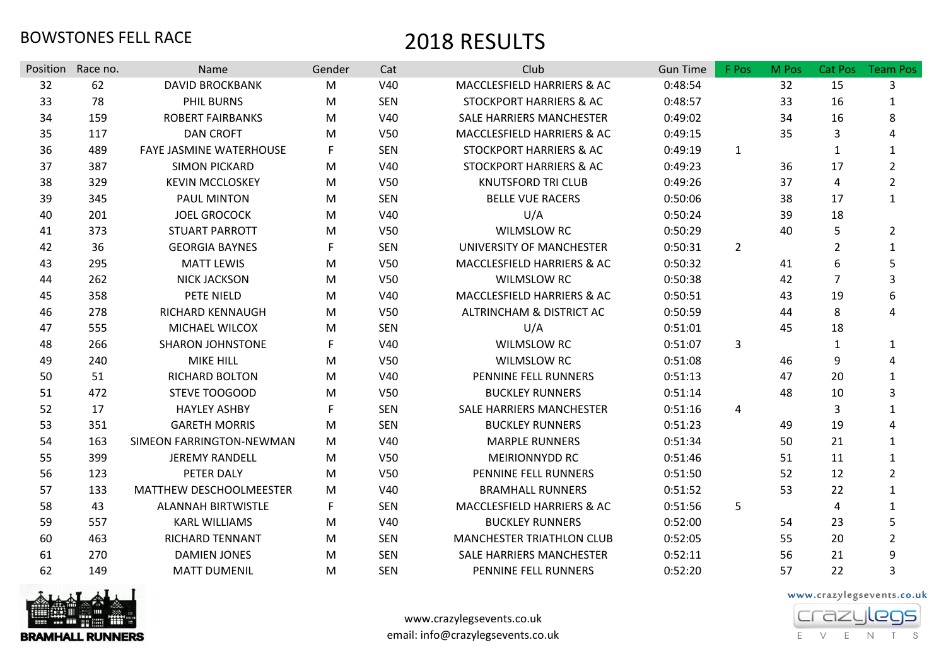| Position | Race no. | <b>Name</b>                    | Gender    | Cat             | Club                               | <b>Gun Time</b> | F Pos          | M Pos | Cat Pos        | <b>Team Pos</b> |
|----------|----------|--------------------------------|-----------|-----------------|------------------------------------|-----------------|----------------|-------|----------------|-----------------|
| 32       | 62       | <b>DAVID BROCKBANK</b>         | M         | V40             | MACCLESFIELD HARRIERS & AC         | 0:48:54         |                | 32    | 15             | 3               |
| 33       | 78       | <b>PHIL BURNS</b>              | ${\sf M}$ | <b>SEN</b>      | STOCKPORT HARRIERS & AC            | 0:48:57         |                | 33    | 16             | 1               |
| 34       | 159      | <b>ROBERT FAIRBANKS</b>        | M         | V40             | SALE HARRIERS MANCHESTER           | 0:49:02         |                | 34    | 16             | 8               |
| 35       | 117      | <b>DAN CROFT</b>               | M         | <b>V50</b>      | MACCLESFIELD HARRIERS & AC         | 0:49:15         |                | 35    | 3              | 4               |
| 36       | 489      | <b>FAYE JASMINE WATERHOUSE</b> | F         | <b>SEN</b>      | STOCKPORT HARRIERS & AC            | 0:49:19         | $\mathbf{1}$   |       | $\mathbf{1}$   | $\mathbf{1}$    |
| 37       | 387      | <b>SIMON PICKARD</b>           | M         | V40             | <b>STOCKPORT HARRIERS &amp; AC</b> | 0:49:23         |                | 36    | 17             | $\overline{2}$  |
| 38       | 329      | <b>KEVIN MCCLOSKEY</b>         | M         | V50             | <b>KNUTSFORD TRI CLUB</b>          | 0:49:26         |                | 37    | 4              | $\overline{2}$  |
| 39       | 345      | <b>PAUL MINTON</b>             | M         | <b>SEN</b>      | <b>BELLE VUE RACERS</b>            | 0:50:06         |                | 38    | 17             | $\mathbf{1}$    |
| 40       | 201      | <b>JOEL GROCOCK</b>            | M         | V40             | U/A                                | 0:50:24         |                | 39    | 18             |                 |
| 41       | 373      | <b>STUART PARROTT</b>          | М         | V50             | <b>WILMSLOW RC</b>                 | 0:50:29         |                | 40    | 5              | $\overline{2}$  |
| 42       | 36       | <b>GEORGIA BAYNES</b>          | F         | <b>SEN</b>      | UNIVERSITY OF MANCHESTER           | 0:50:31         | $\overline{2}$ |       | $\overline{2}$ | $\mathbf{1}$    |
| 43       | 295      | <b>MATT LEWIS</b>              | M         | V <sub>50</sub> | MACCLESFIELD HARRIERS & AC         | 0:50:32         |                | 41    | 6              | 5               |
| 44       | 262      | <b>NICK JACKSON</b>            | M         | <b>V50</b>      | <b>WILMSLOW RC</b>                 | 0:50:38         |                | 42    | 7              | 3               |
| 45       | 358      | PETE NIELD                     | M         | V40             | MACCLESFIELD HARRIERS & AC         | 0:50:51         |                | 43    | 19             | 6               |
| 46       | 278      | <b>RICHARD KENNAUGH</b>        | M         | V <sub>50</sub> | ALTRINCHAM & DISTRICT AC           | 0:50:59         |                | 44    | 8              | 4               |
| 47       | 555      | <b>MICHAEL WILCOX</b>          | м         | <b>SEN</b>      | U/A                                | 0:51:01         |                | 45    | 18             |                 |
| 48       | 266      | <b>SHARON JOHNSTONE</b>        | F         | V40             | <b>WILMSLOW RC</b>                 | 0:51:07         | 3              |       | $\mathbf{1}$   | 1               |
| 49       | 240      | <b>MIKE HILL</b>               | M         | V50             | <b>WILMSLOW RC</b>                 | 0:51:08         |                | 46    | 9              | 4               |
| 50       | 51       | <b>RICHARD BOLTON</b>          | M         | V40             | PENNINE FELL RUNNERS               | 0:51:13         |                | 47    | 20             | $\mathbf{1}$    |
| 51       | 472      | STEVE TOOGOOD                  | M         | V50             | <b>BUCKLEY RUNNERS</b>             | 0:51:14         |                | 48    | 10             | 3               |
| 52       | 17       | <b>HAYLEY ASHBY</b>            | F         | <b>SEN</b>      | SALE HARRIERS MANCHESTER           | 0:51:16         | $\overline{4}$ |       | 3              | $\mathbf{1}$    |
| 53       | 351      | <b>GARETH MORRIS</b>           | M         | <b>SEN</b>      | <b>BUCKLEY RUNNERS</b>             | 0:51:23         |                | 49    | 19             |                 |
| 54       | 163      | SIMEON FARRINGTON-NEWMAN       | M         | V40             | <b>MARPLE RUNNERS</b>              | 0:51:34         |                | 50    | 21             | $\mathbf{1}$    |
| 55       | 399      | <b>JEREMY RANDELL</b>          | M         | V50             | MEIRIONNYDD RC                     | 0:51:46         |                | 51    | 11             | $\mathbf{1}$    |
| 56       | 123      | PETER DALY                     | M         | V50             | PENNINE FELL RUNNERS               | 0:51:50         |                | 52    | 12             | $\overline{2}$  |
| 57       | 133      | MATTHEW DESCHOOLMEESTER        | M         | V40             | <b>BRAMHALL RUNNERS</b>            | 0:51:52         |                | 53    | 22             | $\mathbf{1}$    |
| 58       | 43       | <b>ALANNAH BIRTWISTLE</b>      | F         | <b>SEN</b>      | MACCLESFIELD HARRIERS & AC         | 0:51:56         | 5              |       | $\overline{4}$ | $\mathbf{1}$    |
| 59       | 557      | <b>KARL WILLIAMS</b>           | M         | V40             | <b>BUCKLEY RUNNERS</b>             | 0:52:00         |                | 54    | 23             | 5               |
| 60       | 463      | <b>RICHARD TENNANT</b>         | М         | <b>SEN</b>      | <b>MANCHESTER TRIATHLON CLUB</b>   | 0:52:05         |                | 55    | 20             | $\overline{2}$  |
| 61       | 270      | <b>DAMIEN JONES</b>            | M         | <b>SEN</b>      | SALE HARRIERS MANCHESTER           | 0:52:11         |                | 56    | 21             | 9               |
| 62       | 149      | <b>MATT DUMENIL</b>            | М         | <b>SEN</b>      | PENNINE FELL RUNNERS               | 0:52:20         |                | 57    | 22             | 3               |



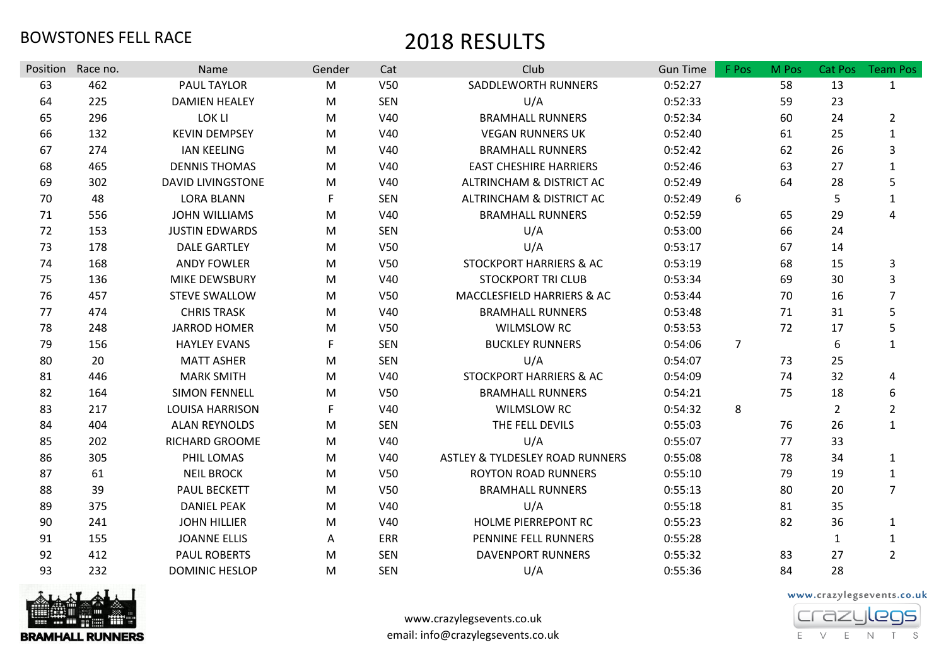| Position | Race no. | Name                     | Gender    | Cat             | Club                               | <b>Gun Time</b> | F Pos          | M Pos | Cat Pos        | <b>Team Pos</b> |
|----------|----------|--------------------------|-----------|-----------------|------------------------------------|-----------------|----------------|-------|----------------|-----------------|
| 63       | 462      | PAUL TAYLOR              | M         | V <sub>50</sub> | SADDLEWORTH RUNNERS                | 0:52:27         |                | 58    | 13             | $\mathbf{1}$    |
| 64       | 225      | <b>DAMIEN HEALEY</b>     | M         | <b>SEN</b>      | U/A                                | 0:52:33         |                | 59    | 23             |                 |
| 65       | 296      | LOK LI                   | M         | V40             | <b>BRAMHALL RUNNERS</b>            | 0:52:34         |                | 60    | 24             | $\overline{2}$  |
| 66       | 132      | <b>KEVIN DEMPSEY</b>     | M         | V40             | <b>VEGAN RUNNERS UK</b>            | 0:52:40         |                | 61    | 25             | $\mathbf{1}$    |
| 67       | 274      | <b>IAN KEELING</b>       | M         | V40             | <b>BRAMHALL RUNNERS</b>            | 0:52:42         |                | 62    | 26             | 3               |
| 68       | 465      | <b>DENNIS THOMAS</b>     | M         | V40             | <b>EAST CHESHIRE HARRIERS</b>      | 0:52:46         |                | 63    | 27             | $\mathbf{1}$    |
| 69       | 302      | <b>DAVID LIVINGSTONE</b> | M         | V40             | ALTRINCHAM & DISTRICT AC           | 0:52:49         |                | 64    | 28             | 5               |
| 70       | 48       | <b>LORA BLANN</b>        | F         | <b>SEN</b>      | ALTRINCHAM & DISTRICT AC           | 0:52:49         | 6              |       | 5              | 1               |
| 71       | 556      | <b>JOHN WILLIAMS</b>     | M         | V40             | <b>BRAMHALL RUNNERS</b>            | 0:52:59         |                | 65    | 29             | 4               |
| 72       | 153      | <b>JUSTIN EDWARDS</b>    | M         | <b>SEN</b>      | U/A                                | 0:53:00         |                | 66    | 24             |                 |
| 73       | 178      | <b>DALE GARTLEY</b>      | M         | V <sub>50</sub> | U/A                                | 0:53:17         |                | 67    | 14             |                 |
| 74       | 168      | <b>ANDY FOWLER</b>       | M         | V <sub>50</sub> | <b>STOCKPORT HARRIERS &amp; AC</b> | 0:53:19         |                | 68    | 15             | 3               |
| 75       | 136      | <b>MIKE DEWSBURY</b>     | M         | V40             | <b>STOCKPORT TRI CLUB</b>          | 0:53:34         |                | 69    | 30             | 3               |
| 76       | 457      | <b>STEVE SWALLOW</b>     | M         | V <sub>50</sub> | MACCLESFIELD HARRIERS & AC         | 0:53:44         |                | 70    | 16             | $\overline{7}$  |
| 77       | 474      | <b>CHRIS TRASK</b>       | M         | V40             | <b>BRAMHALL RUNNERS</b>            | 0:53:48         |                | 71    | 31             | 5               |
| 78       | 248      | <b>JARROD HOMER</b>      | M         | V50             | <b>WILMSLOW RC</b>                 | 0:53:53         |                | 72    | 17             | 5               |
| 79       | 156      | <b>HAYLEY EVANS</b>      | F         | <b>SEN</b>      | <b>BUCKLEY RUNNERS</b>             | 0:54:06         | $\overline{7}$ |       | 6              | $\mathbf{1}$    |
| 80       | 20       | <b>MATT ASHER</b>        | M         | <b>SEN</b>      | U/A                                | 0:54:07         |                | 73    | 25             |                 |
| 81       | 446      | <b>MARK SMITH</b>        | M         | V40             | <b>STOCKPORT HARRIERS &amp; AC</b> | 0:54:09         |                | 74    | 32             | 4               |
| 82       | 164      | <b>SIMON FENNELL</b>     | M         | V50             | <b>BRAMHALL RUNNERS</b>            | 0:54:21         |                | 75    | 18             | 6               |
| 83       | 217      | <b>LOUISA HARRISON</b>   | F         | V40             | <b>WILMSLOW RC</b>                 | 0:54:32         | 8              |       | $\overline{2}$ | $\overline{2}$  |
| 84       | 404      | <b>ALAN REYNOLDS</b>     | M         | <b>SEN</b>      | THE FELL DEVILS                    | 0:55:03         |                | 76    | 26             | $\mathbf{1}$    |
| 85       | 202      | <b>RICHARD GROOME</b>    | M         | V40             | U/A                                | 0:55:07         |                | 77    | 33             |                 |
| 86       | 305      | PHIL LOMAS               | M         | V40             | ASTLEY & TYLDESLEY ROAD RUNNERS    | 0:55:08         |                | 78    | 34             | $\mathbf{1}$    |
| 87       | 61       | <b>NEIL BROCK</b>        | M         | V50             | <b>ROYTON ROAD RUNNERS</b>         | 0:55:10         |                | 79    | 19             | $\mathbf{1}$    |
| 88       | 39       | <b>PAUL BECKETT</b>      | M         | V50             | <b>BRAMHALL RUNNERS</b>            | 0:55:13         |                | 80    | 20             | $\overline{7}$  |
| 89       | 375      | <b>DANIEL PEAK</b>       | ${\sf M}$ | V40             | U/A                                | 0:55:18         |                | 81    | 35             |                 |
| 90       | 241      | <b>JOHN HILLIER</b>      | M         | V40             | <b>HOLME PIERREPONT RC</b>         | 0:55:23         |                | 82    | 36             | $\mathbf{1}$    |
| 91       | 155      | <b>JOANNE ELLIS</b>      | A         | ERR             | PENNINE FELL RUNNERS               | 0:55:28         |                |       | $\mathbf{1}$   | 1               |
| 92       | 412      | <b>PAUL ROBERTS</b>      | M         | <b>SEN</b>      | <b>DAVENPORT RUNNERS</b>           | 0:55:32         |                | 83    | 27             | $\overline{2}$  |
| 93       | 232      | <b>DOMINIC HESLOP</b>    | M         | <b>SEN</b>      | U/A                                | 0:55:36         |                | 84    | 28             |                 |



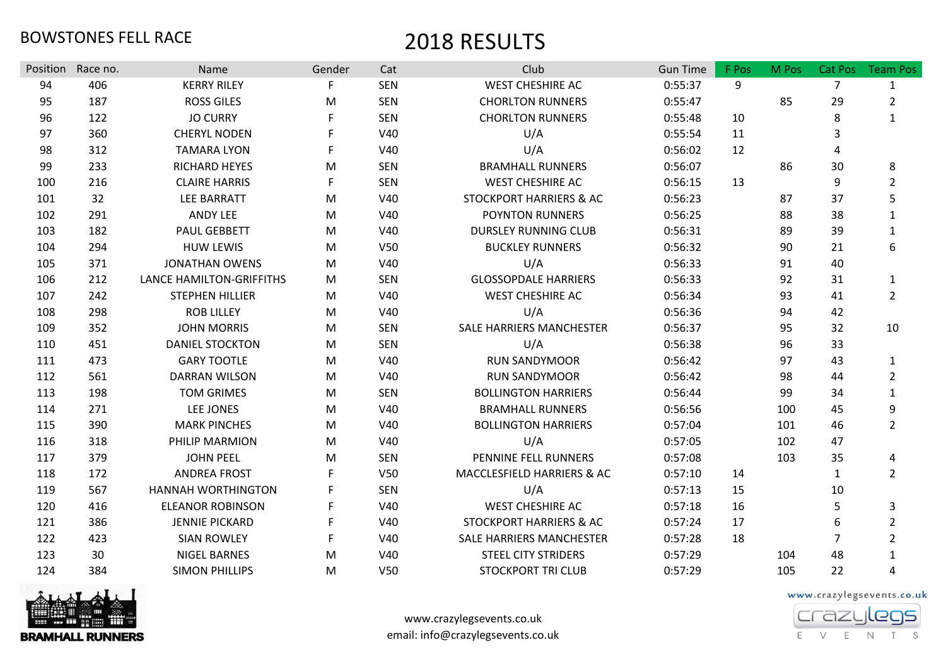| Position | Race no. | Name                            | Gender | Cat             | Club                               | <b>Gun Time</b> | F Pos | M Pos | Cat Pos        | <b>Team Pos</b> |
|----------|----------|---------------------------------|--------|-----------------|------------------------------------|-----------------|-------|-------|----------------|-----------------|
| 94       | 406      | <b>KERRY RILEY</b>              |        | <b>SEN</b>      | <b>WEST CHESHIRE AC</b>            | 0:55:37         | 9     |       | $\overline{7}$ | 1               |
| 95       | 187      | <b>ROSS GILES</b>               | M      | <b>SEN</b>      | <b>CHORLTON RUNNERS</b>            | 0:55:47         |       | 85    | 29             | $\overline{2}$  |
| 96       | 122      | <b>JO CURRY</b>                 | F      | <b>SEN</b>      | <b>CHORLTON RUNNERS</b>            | 0:55:48         | 10    |       | 8              | $\mathbf{1}$    |
| 97       | 360      | <b>CHERYL NODEN</b>             |        | V40             | U/A                                | 0:55:54         | 11    |       | 3              |                 |
| 98       | 312      | <b>TAMARA LYON</b>              |        | V40             | U/A                                | 0:56:02         | 12    |       | 4              |                 |
| 99       | 233      | <b>RICHARD HEYES</b>            | M      | <b>SEN</b>      | <b>BRAMHALL RUNNERS</b>            | 0:56:07         |       | 86    | 30             | 8               |
| 100      | 216      | <b>CLAIRE HARRIS</b>            | F      | <b>SEN</b>      | <b>WEST CHESHIRE AC</b>            | 0:56:15         | 13    |       | 9              | $\overline{2}$  |
| 101      | 32       | <b>LEE BARRATT</b>              | M      | V40             | STOCKPORT HARRIERS & AC            | 0:56:23         |       | 87    | 37             | 5               |
| 102      | 291      | <b>ANDY LEE</b>                 | M      | V40             | <b>POYNTON RUNNERS</b>             | 0:56:25         |       | 88    | 38             | $\mathbf{1}$    |
| 103      | 182      | PAUL GEBBETT                    | M      | V40             | <b>DURSLEY RUNNING CLUB</b>        | 0:56:31         |       | 89    | 39             | $\mathbf{1}$    |
| 104      | 294      | <b>HUW LEWIS</b>                | M      | V <sub>50</sub> | <b>BUCKLEY RUNNERS</b>             | 0:56:32         |       | 90    | 21             | 6               |
| 105      | 371      | <b>JONATHAN OWENS</b>           | M      | V40             | U/A                                | 0:56:33         |       | 91    | 40             |                 |
| 106      | 212      | <b>LANCE HAMILTON-GRIFFITHS</b> | M      | <b>SEN</b>      | <b>GLOSSOPDALE HARRIERS</b>        | 0:56:33         |       | 92    | 31             | 1               |
| 107      | 242      | <b>STEPHEN HILLIER</b>          | M      | V40             | WEST CHESHIRE AC                   | 0:56:34         |       | 93    | 41             | $\overline{2}$  |
| 108      | 298      | <b>ROB LILLEY</b>               | M      | V40             | U/A                                | 0:56:36         |       | 94    | 42             |                 |
| 109      | 352      | <b>JOHN MORRIS</b>              | M      | <b>SEN</b>      | <b>SALE HARRIERS MANCHESTER</b>    | 0:56:37         |       | 95    | 32             | 10              |
| 110      | 451      | <b>DANIEL STOCKTON</b>          | M      | <b>SEN</b>      | U/A                                | 0:56:38         |       | 96    | 33             |                 |
| 111      | 473      | <b>GARY TOOTLE</b>              | М      | V40             | <b>RUN SANDYMOOR</b>               | 0:56:42         |       | 97    | 43             | $\mathbf{1}$    |
| 112      | 561      | <b>DARRAN WILSON</b>            | M      | V40             | <b>RUN SANDYMOOR</b>               | 0:56:42         |       | 98    | 44             | $\overline{2}$  |
| 113      | 198      | <b>TOM GRIMES</b>               | M      | <b>SEN</b>      | <b>BOLLINGTON HARRIERS</b>         | 0:56:44         |       | 99    | 34             | $\mathbf{1}$    |
| 114      | 271      | <b>LEE JONES</b>                | M      | V40             | <b>BRAMHALL RUNNERS</b>            | 0:56:56         |       | 100   | 45             | 9               |
| 115      | 390      | <b>MARK PINCHES</b>             | M      | V40             | <b>BOLLINGTON HARRIERS</b>         | 0:57:04         |       | 101   | 46             | $\overline{2}$  |
| 116      | 318      | PHILIP MARMION                  | M      | V40             | U/A                                | 0:57:05         |       | 102   | 47             |                 |
| 117      | 379      | <b>JOHN PEEL</b>                | М      | <b>SEN</b>      | PENNINE FELL RUNNERS               | 0:57:08         |       | 103   | 35             | 4               |
| 118      | 172      | <b>ANDREA FROST</b>             |        | <b>V50</b>      | MACCLESFIELD HARRIERS & AC         | 0:57:10         | 14    |       | $\mathbf{1}$   | $\overline{2}$  |
| 119      | 567      | <b>HANNAH WORTHINGTON</b>       |        | <b>SEN</b>      | U/A                                | 0:57:13         | 15    |       | 10             |                 |
| 120      | 416      | <b>ELEANOR ROBINSON</b>         | F.     | V40             | <b>WEST CHESHIRE AC</b>            | 0:57:18         | 16    |       | 5              | 3               |
| 121      | 386      | <b>JENNIE PICKARD</b>           |        | V40             | <b>STOCKPORT HARRIERS &amp; AC</b> | 0:57:24         | 17    |       | 6              | $\overline{2}$  |
| 122      | 423      | <b>SIAN ROWLEY</b>              | F      | V40             | SALE HARRIERS MANCHESTER           | 0:57:28         | 18    |       | $\overline{7}$ | $\overline{2}$  |
| 123      | 30       | <b>NIGEL BARNES</b>             | M      | V40             | <b>STEEL CITY STRIDERS</b>         | 0:57:29         |       | 104   | 48             | 1               |
| 124      | 384      | <b>SIMON PHILLIPS</b>           | M      | <b>V50</b>      | <b>STOCKPORT TRI CLUB</b>          | 0:57:29         |       | 105   | 22             | 4               |



www.crazylegsevents.co.uk email: info@crazylegsevents.co.uk

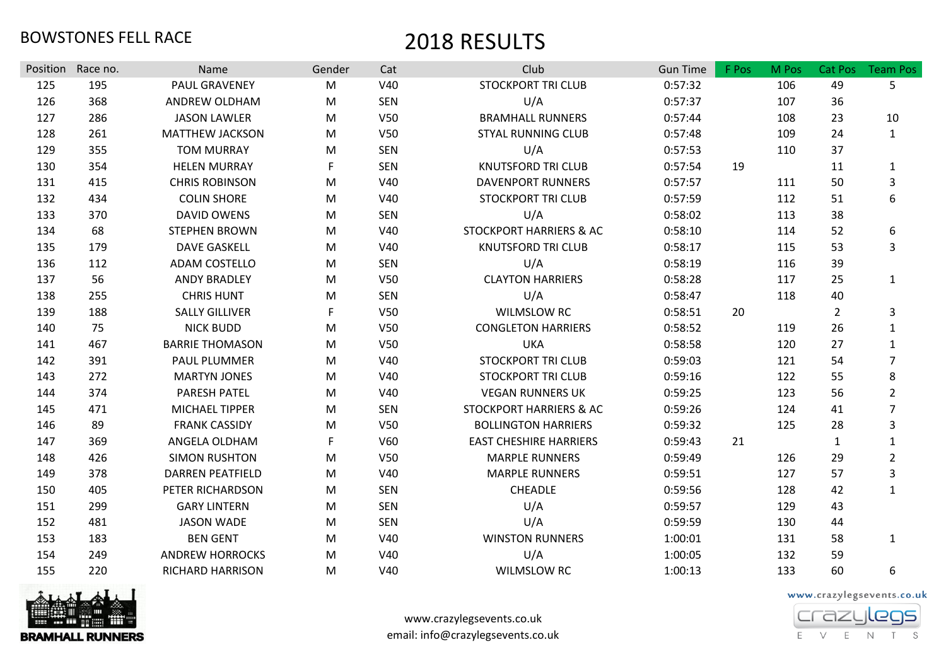| Position | Race no. | Name                    | Gender | Cat        | Club                               | <b>Gun Time</b> | F Pos | M Pos | Cat Pos        | <b>Team Pos</b> |
|----------|----------|-------------------------|--------|------------|------------------------------------|-----------------|-------|-------|----------------|-----------------|
| 125      | 195      | <b>PAUL GRAVENEY</b>    | M      | V40        | <b>STOCKPORT TRI CLUB</b>          | 0:57:32         |       | 106   | 49             | 5               |
| 126      | 368      | ANDREW OLDHAM           | M      | <b>SEN</b> | U/A                                | 0:57:37         |       | 107   | 36             |                 |
| 127      | 286      | <b>JASON LAWLER</b>     | M      | <b>V50</b> | <b>BRAMHALL RUNNERS</b>            | 0:57:44         |       | 108   | 23             | 10              |
| 128      | 261      | <b>MATTHEW JACKSON</b>  | M      | V50        | <b>STYAL RUNNING CLUB</b>          | 0:57:48         |       | 109   | 24             | $\mathbf{1}$    |
| 129      | 355      | <b>TOM MURRAY</b>       | M      | <b>SEN</b> | U/A                                | 0:57:53         |       | 110   | 37             |                 |
| 130      | 354      | <b>HELEN MURRAY</b>     | F      | <b>SEN</b> | <b>KNUTSFORD TRI CLUB</b>          | 0:57:54         | 19    |       | 11             | $\mathbf{1}$    |
| 131      | 415      | <b>CHRIS ROBINSON</b>   | M      | V40        | <b>DAVENPORT RUNNERS</b>           | 0:57:57         |       | 111   | 50             | $\mathbf{3}$    |
| 132      | 434      | <b>COLIN SHORE</b>      | M      | V40        | <b>STOCKPORT TRI CLUB</b>          | 0:57:59         |       | 112   | 51             | 6               |
| 133      | 370      | <b>DAVID OWENS</b>      | M      | <b>SEN</b> | U/A                                | 0:58:02         |       | 113   | 38             |                 |
| 134      | 68       | <b>STEPHEN BROWN</b>    | M      | V40        | <b>STOCKPORT HARRIERS &amp; AC</b> | 0:58:10         |       | 114   | 52             | 6               |
| 135      | 179      | <b>DAVE GASKELL</b>     | M      | V40        | <b>KNUTSFORD TRI CLUB</b>          | 0:58:17         |       | 115   | 53             | 3               |
| 136      | 112      | ADAM COSTELLO           | M      | <b>SEN</b> | U/A                                | 0:58:19         |       | 116   | 39             |                 |
| 137      | 56       | <b>ANDY BRADLEY</b>     | M      | V50        | <b>CLAYTON HARRIERS</b>            | 0:58:28         |       | 117   | 25             | $\mathbf{1}$    |
| 138      | 255      | <b>CHRIS HUNT</b>       | M      | <b>SEN</b> | U/A                                | 0:58:47         |       | 118   | 40             |                 |
| 139      | 188      | <b>SALLY GILLIVER</b>   | F      | V50        | <b>WILMSLOW RC</b>                 | 0:58:51         | 20    |       | $\overline{2}$ | 3               |
| 140      | 75       | <b>NICK BUDD</b>        | M      | <b>V50</b> | <b>CONGLETON HARRIERS</b>          | 0:58:52         |       | 119   | 26             | $\mathbf{1}$    |
| 141      | 467      | <b>BARRIE THOMASON</b>  | M      | V50        | <b>UKA</b>                         | 0:58:58         |       | 120   | 27             | $\mathbf{1}$    |
| 142      | 391      | PAUL PLUMMER            | M      | V40        | <b>STOCKPORT TRI CLUB</b>          | 0:59:03         |       | 121   | 54             | $\overline{7}$  |
| 143      | 272      | <b>MARTYN JONES</b>     | M      | V40        | <b>STOCKPORT TRI CLUB</b>          | 0:59:16         |       | 122   | 55             | 8               |
| 144      | 374      | <b>PARESH PATEL</b>     | M      | V40        | <b>VEGAN RUNNERS UK</b>            | 0:59:25         |       | 123   | 56             | $\overline{2}$  |
| 145      | 471      | MICHAEL TIPPER          | M      | <b>SEN</b> | <b>STOCKPORT HARRIERS &amp; AC</b> | 0:59:26         |       | 124   | 41             | $\overline{7}$  |
| 146      | 89       | <b>FRANK CASSIDY</b>    | M      | V50        | <b>BOLLINGTON HARRIERS</b>         | 0:59:32         |       | 125   | 28             | 3               |
| 147      | 369      | ANGELA OLDHAM           | F      | V60        | <b>EAST CHESHIRE HARRIERS</b>      | 0:59:43         | 21    |       | $\mathbf{1}$   | $\mathbf{1}$    |
| 148      | 426      | <b>SIMON RUSHTON</b>    | M      | V50        | <b>MARPLE RUNNERS</b>              | 0:59:49         |       | 126   | 29             | $\overline{2}$  |
| 149      | 378      | <b>DARREN PEATFIELD</b> | M      | V40        | <b>MARPLE RUNNERS</b>              | 0:59:51         |       | 127   | 57             | 3               |
| 150      | 405      | PETER RICHARDSON        | M      | <b>SEN</b> | <b>CHEADLE</b>                     | 0:59:56         |       | 128   | 42             | $\mathbf{1}$    |
| 151      | 299      | <b>GARY LINTERN</b>     | M      | <b>SEN</b> | U/A                                | 0:59:57         |       | 129   | 43             |                 |
| 152      | 481      | <b>JASON WADE</b>       | M      | <b>SEN</b> | U/A                                | 0:59:59         |       | 130   | 44             |                 |
| 153      | 183      | <b>BEN GENT</b>         | M      | V40        | <b>WINSTON RUNNERS</b>             | 1:00:01         |       | 131   | 58             | $\mathbf{1}$    |
| 154      | 249      | <b>ANDREW HORROCKS</b>  | M      | V40        | U/A                                | 1:00:05         |       | 132   | 59             |                 |
| 155      | 220      | <b>RICHARD HARRISON</b> | M      | V40        | <b>WILMSLOW RC</b>                 | 1:00:13         |       | 133   | 60             | 6               |



www.crazylegsevents.co.uk email: info@crazylegsevents.co.uk

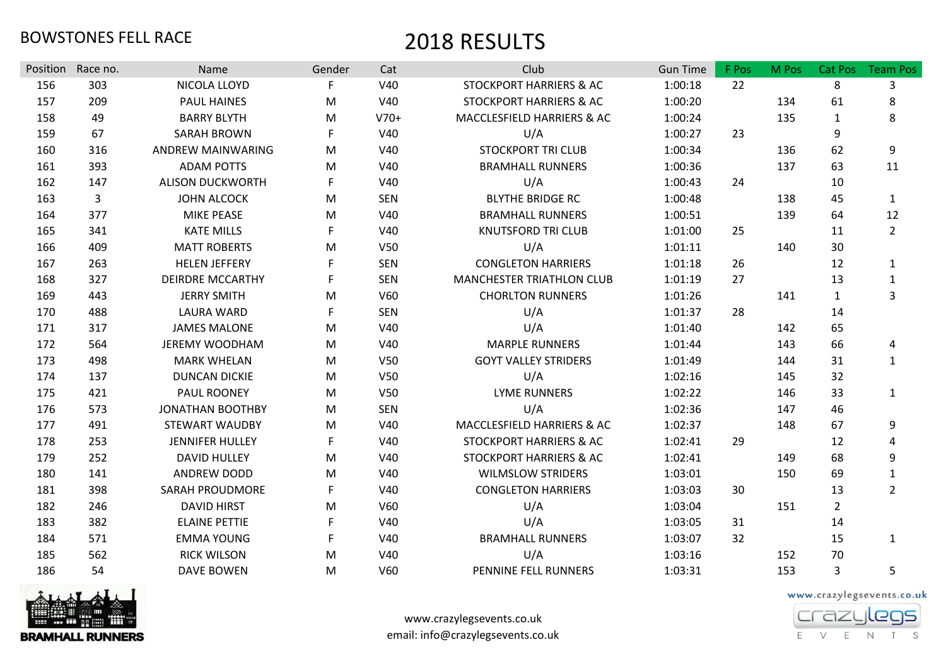| Position | Race no.     | Name                    | Gender | Cat        | Club                               | <b>Gun Time</b> | F Pos | M Pos | Cat Pos        | <b>Team Pos</b> |
|----------|--------------|-------------------------|--------|------------|------------------------------------|-----------------|-------|-------|----------------|-----------------|
| 156      | 303          | NICOLA LLOYD            | F      | V40        | <b>STOCKPORT HARRIERS &amp; AC</b> | 1:00:18         | 22    |       | 8              | 3               |
| 157      | 209          | <b>PAUL HAINES</b>      | M      | V40        | <b>STOCKPORT HARRIERS &amp; AC</b> | 1:00:20         |       | 134   | 61             | 8               |
| 158      | 49           | <b>BARRY BLYTH</b>      | M      | $V70+$     | MACCLESFIELD HARRIERS & AC         | 1:00:24         |       | 135   | $\mathbf{1}$   | 8               |
| 159      | 67           | <b>SARAH BROWN</b>      | F      | V40        | U/A                                | 1:00:27         | 23    |       | 9              |                 |
| 160      | 316          | ANDREW MAINWARING       | M      | V40        | <b>STOCKPORT TRI CLUB</b>          | 1:00:34         |       | 136   | 62             | 9               |
| 161      | 393          | <b>ADAM POTTS</b>       | M      | V40        | <b>BRAMHALL RUNNERS</b>            | 1:00:36         |       | 137   | 63             | 11              |
| 162      | 147          | <b>ALISON DUCKWORTH</b> | F      | V40        | U/A                                | 1:00:43         | 24    |       | 10             |                 |
| 163      | $\mathbf{3}$ | <b>JOHN ALCOCK</b>      | M      | <b>SEN</b> | <b>BLYTHE BRIDGE RC</b>            | 1:00:48         |       | 138   | 45             | $\mathbf{1}$    |
| 164      | 377          | MIKE PEASE              | M      | V40        | <b>BRAMHALL RUNNERS</b>            | 1:00:51         |       | 139   | 64             | 12              |
| 165      | 341          | <b>KATE MILLS</b>       | F      | V40        | <b>KNUTSFORD TRI CLUB</b>          | 1:01:00         | 25    |       | 11             | $\overline{2}$  |
| 166      | 409          | <b>MATT ROBERTS</b>     | M      | V50        | U/A                                | 1:01:11         |       | 140   | 30             |                 |
| 167      | 263          | <b>HELEN JEFFERY</b>    | F      | <b>SEN</b> | <b>CONGLETON HARRIERS</b>          | 1:01:18         | 26    |       | 12             | $\mathbf{1}$    |
| 168      | 327          | <b>DEIRDRE MCCARTHY</b> | F      | <b>SEN</b> | <b>MANCHESTER TRIATHLON CLUB</b>   | 1:01:19         | 27    |       | 13             | $\mathbf{1}$    |
| 169      | 443          | <b>JERRY SMITH</b>      | M      | V60        | <b>CHORLTON RUNNERS</b>            | 1:01:26         |       | 141   | 1              | 3               |
| 170      | 488          | <b>LAURA WARD</b>       | F      | <b>SEN</b> | U/A                                | 1:01:37         | 28    |       | 14             |                 |
| 171      | 317          | <b>JAMES MALONE</b>     | M      | V40        | U/A                                | 1:01:40         |       | 142   | 65             |                 |
| 172      | 564          | <b>JEREMY WOODHAM</b>   | M      | V40        | <b>MARPLE RUNNERS</b>              | 1:01:44         |       | 143   | 66             | 4               |
| 173      | 498          | <b>MARK WHELAN</b>      | M      | V50        | <b>GOYT VALLEY STRIDERS</b>        | 1:01:49         |       | 144   | 31             | $\mathbf{1}$    |
| 174      | 137          | <b>DUNCAN DICKIE</b>    | M      | V50        | U/A                                | 1:02:16         |       | 145   | 32             |                 |
| 175      | 421          | PAUL ROONEY             | M      | V50        | <b>LYME RUNNERS</b>                | 1:02:22         |       | 146   | 33             | $\mathbf{1}$    |
| 176      | 573          | <b>JONATHAN BOOTHBY</b> | M      | <b>SEN</b> | U/A                                | 1:02:36         |       | 147   | 46             |                 |
| 177      | 491          | <b>STEWART WAUDBY</b>   | M      | V40        | MACCLESFIELD HARRIERS & AC         | 1:02:37         |       | 148   | 67             | 9               |
| 178      | 253          | <b>JENNIFER HULLEY</b>  | F      | V40        | STOCKPORT HARRIERS & AC            | 1:02:41         | 29    |       | 12             | 4               |
| 179      | 252          | <b>DAVID HULLEY</b>     | M      | V40        | STOCKPORT HARRIERS & AC            | 1:02:41         |       | 149   | 68             | 9               |
| 180      | 141          | <b>ANDREW DODD</b>      | M      | V40        | <b>WILMSLOW STRIDERS</b>           | 1:03:01         |       | 150   | 69             | $\mathbf{1}$    |
| 181      | 398          | <b>SARAH PROUDMORE</b>  | F      | V40        | <b>CONGLETON HARRIERS</b>          | 1:03:03         | 30    |       | 13             | $\overline{2}$  |
| 182      | 246          | <b>DAVID HIRST</b>      | M      | V60        | U/A                                | 1:03:04         |       | 151   | $\overline{2}$ |                 |
| 183      | 382          | <b>ELAINE PETTIE</b>    | F      | V40        | U/A                                | 1:03:05         | 31    |       | 14             |                 |
| 184      | 571          | <b>EMMA YOUNG</b>       | F      | V40        | <b>BRAMHALL RUNNERS</b>            | 1:03:07         | 32    |       | 15             | 1               |
| 185      | 562          | <b>RICK WILSON</b>      | M      | V40        | U/A                                | 1:03:16         |       | 152   | 70             |                 |
| 186      | 54           | DAVE BOWEN              | M      | V60        | PENNINE FELL RUNNERS               | 1:03:31         |       | 153   | 3              | 5               |



www.crazylegsevents.co.uk email: info@crazylegsevents.co.uk

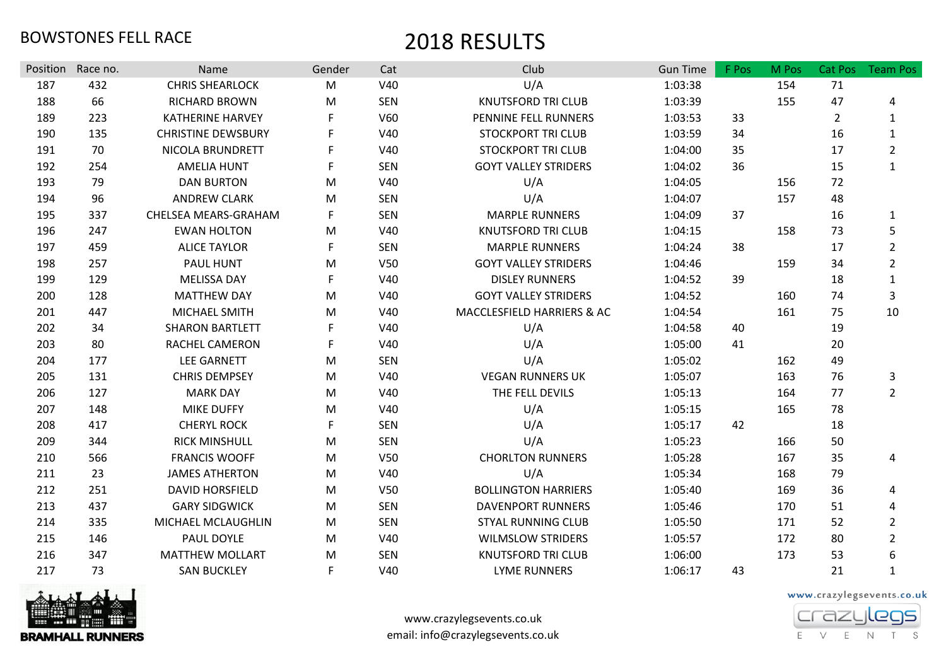| Position | Race no. | Name                      | Gender | Cat             | Club                        | <b>Gun Time</b> | F Pos | M Pos | Cat Pos        | <b>Team Pos</b> |
|----------|----------|---------------------------|--------|-----------------|-----------------------------|-----------------|-------|-------|----------------|-----------------|
| 187      | 432      | <b>CHRIS SHEARLOCK</b>    | M      | V40             | U/A                         | 1:03:38         |       | 154   | 71             |                 |
| 188      | 66       | RICHARD BROWN             | M      | <b>SEN</b>      | <b>KNUTSFORD TRI CLUB</b>   | 1:03:39         |       | 155   | 47             | 4               |
| 189      | 223      | <b>KATHERINE HARVEY</b>   | F.     | V60             | PENNINE FELL RUNNERS        | 1:03:53         | 33    |       | $\overline{2}$ | $\mathbf{1}$    |
| 190      | 135      | <b>CHRISTINE DEWSBURY</b> | F      | V40             | <b>STOCKPORT TRI CLUB</b>   | 1:03:59         | 34    |       | 16             | $\mathbf{1}$    |
| 191      | 70       | NICOLA BRUNDRETT          | F      | V40             | <b>STOCKPORT TRI CLUB</b>   | 1:04:00         | 35    |       | 17             | $\overline{2}$  |
| 192      | 254      | <b>AMELIA HUNT</b>        | F.     | <b>SEN</b>      | <b>GOYT VALLEY STRIDERS</b> | 1:04:02         | 36    |       | 15             | $\mathbf{1}$    |
| 193      | 79       | <b>DAN BURTON</b>         | M      | V40             | U/A                         | 1:04:05         |       | 156   | 72             |                 |
| 194      | 96       | <b>ANDREW CLARK</b>       | M      | <b>SEN</b>      | U/A                         | 1:04:07         |       | 157   | 48             |                 |
| 195      | 337      | CHELSEA MEARS-GRAHAM      | F.     | <b>SEN</b>      | <b>MARPLE RUNNERS</b>       | 1:04:09         | 37    |       | 16             | $\mathbf{1}$    |
| 196      | 247      | <b>EWAN HOLTON</b>        | M      | V40             | <b>KNUTSFORD TRI CLUB</b>   | 1:04:15         |       | 158   | 73             | 5               |
| 197      | 459      | <b>ALICE TAYLOR</b>       | F.     | <b>SEN</b>      | <b>MARPLE RUNNERS</b>       | 1:04:24         | 38    |       | 17             | $\overline{2}$  |
| 198      | 257      | PAUL HUNT                 | M      | V50             | <b>GOYT VALLEY STRIDERS</b> | 1:04:46         |       | 159   | 34             | $\overline{2}$  |
| 199      | 129      | <b>MELISSA DAY</b>        | F      | V40             | <b>DISLEY RUNNERS</b>       | 1:04:52         | 39    |       | 18             | $\mathbf{1}$    |
| 200      | 128      | <b>MATTHEW DAY</b>        | M      | V40             | <b>GOYT VALLEY STRIDERS</b> | 1:04:52         |       | 160   | 74             | 3               |
| 201      | 447      | MICHAEL SMITH             | M      | V40             | MACCLESFIELD HARRIERS & AC  | 1:04:54         |       | 161   | 75             | 10              |
| 202      | 34       | <b>SHARON BARTLETT</b>    | F.     | V40             | U/A                         | 1:04:58         | 40    |       | 19             |                 |
| 203      | 80       | RACHEL CAMERON            | F.     | V40             | U/A                         | 1:05:00         | 41    |       | 20             |                 |
| 204      | 177      | <b>LEE GARNETT</b>        | M      | <b>SEN</b>      | U/A                         | 1:05:02         |       | 162   | 49             |                 |
| 205      | 131      | <b>CHRIS DEMPSEY</b>      | M      | V40             | <b>VEGAN RUNNERS UK</b>     | 1:05:07         |       | 163   | 76             | 3               |
| 206      | 127      | <b>MARK DAY</b>           | M      | V40             | THE FELL DEVILS             | 1:05:13         |       | 164   | 77             | $\overline{2}$  |
| 207      | 148      | <b>MIKE DUFFY</b>         | M      | V40             | U/A                         | 1:05:15         |       | 165   | 78             |                 |
| 208      | 417      | <b>CHERYL ROCK</b>        | F.     | <b>SEN</b>      | U/A                         | 1:05:17         | 42    |       | 18             |                 |
| 209      | 344      | <b>RICK MINSHULL</b>      | M      | <b>SEN</b>      | U/A                         | 1:05:23         |       | 166   | 50             |                 |
| 210      | 566      | <b>FRANCIS WOOFF</b>      | M      | V <sub>50</sub> | <b>CHORLTON RUNNERS</b>     | 1:05:28         |       | 167   | 35             | 4               |
| 211      | 23       | <b>JAMES ATHERTON</b>     | M      | V40             | U/A                         | 1:05:34         |       | 168   | 79             |                 |
| 212      | 251      | <b>DAVID HORSFIELD</b>    | M      | V <sub>50</sub> | <b>BOLLINGTON HARRIERS</b>  | 1:05:40         |       | 169   | 36             | 4               |
| 213      | 437      | <b>GARY SIDGWICK</b>      | M      | <b>SEN</b>      | <b>DAVENPORT RUNNERS</b>    | 1:05:46         |       | 170   | 51             | 4               |
| 214      | 335      | MICHAEL MCLAUGHLIN        | M      | <b>SEN</b>      | <b>STYAL RUNNING CLUB</b>   | 1:05:50         |       | 171   | 52             | $\overline{2}$  |
| 215      | 146      | PAUL DOYLE                | M      | V40             | <b>WILMSLOW STRIDERS</b>    | 1:05:57         |       | 172   | 80             | $\overline{2}$  |
| 216      | 347      | <b>MATTHEW MOLLART</b>    | M      | <b>SEN</b>      | <b>KNUTSFORD TRI CLUB</b>   | 1:06:00         |       | 173   | 53             | 6               |
| 217      | 73       | <b>SAN BUCKLEY</b>        | F.     | V40             | <b>LYME RUNNERS</b>         | 1:06:17         | 43    |       | 21             | $\mathbf{1}$    |



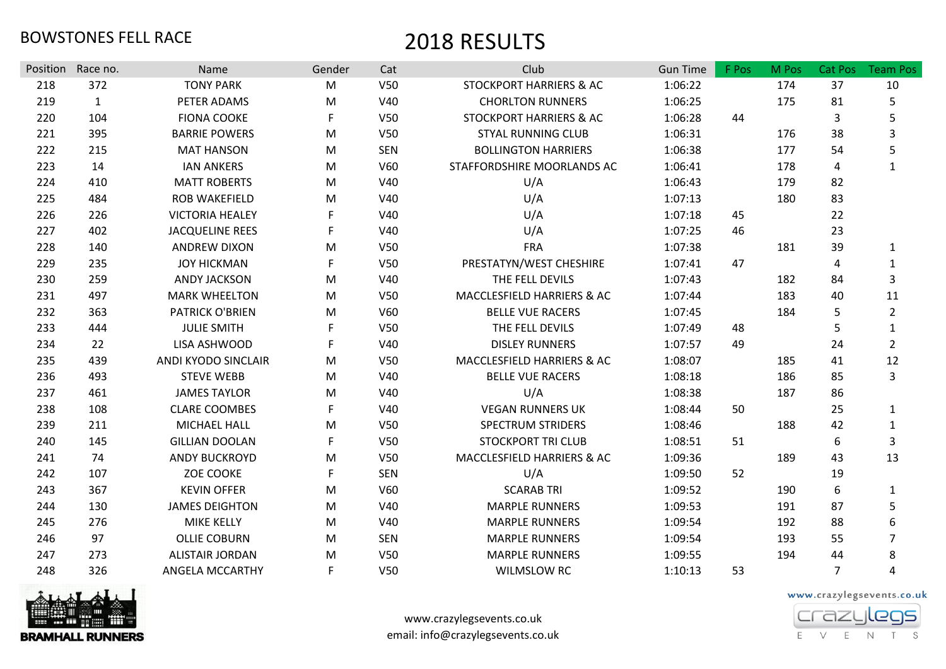| Position | Race no.     | Name                   | Gender      | Cat             | Club                               | <b>Gun Time</b> | F Pos | M Pos | Cat Pos        | <b>Team Pos</b> |
|----------|--------------|------------------------|-------------|-----------------|------------------------------------|-----------------|-------|-------|----------------|-----------------|
| 218      | 372          | <b>TONY PARK</b>       | M           | V <sub>50</sub> | <b>STOCKPORT HARRIERS &amp; AC</b> | 1:06:22         |       | 174   | 37             | 10              |
| 219      | $\mathbf{1}$ | PETER ADAMS            | M           | V40             | <b>CHORLTON RUNNERS</b>            | 1:06:25         |       | 175   | 81             | 5               |
| 220      | 104          | <b>FIONA COOKE</b>     | F           | V50             | STOCKPORT HARRIERS & AC            | 1:06:28         | 44    |       | 3              | 5               |
| 221      | 395          | <b>BARRIE POWERS</b>   | M           | V <sub>50</sub> | <b>STYAL RUNNING CLUB</b>          | 1:06:31         |       | 176   | 38             | 3               |
| 222      | 215          | <b>MAT HANSON</b>      | M           | <b>SEN</b>      | <b>BOLLINGTON HARRIERS</b>         | 1:06:38         |       | 177   | 54             | 5               |
| 223      | 14           | <b>IAN ANKERS</b>      | M           | V60             | STAFFORDSHIRE MOORLANDS AC         | 1:06:41         |       | 178   | 4              | $\mathbf{1}$    |
| 224      | 410          | <b>MATT ROBERTS</b>    | M           | V40             | U/A                                | 1:06:43         |       | 179   | 82             |                 |
| 225      | 484          | ROB WAKEFIELD          | M           | V40             | U/A                                | 1:07:13         |       | 180   | 83             |                 |
| 226      | 226          | <b>VICTORIA HEALEY</b> | F           | V40             | U/A                                | 1:07:18         | 45    |       | 22             |                 |
| 227      | 402          | <b>JACQUELINE REES</b> | F           | V40             | U/A                                | 1:07:25         | 46    |       | 23             |                 |
| 228      | 140          | <b>ANDREW DIXON</b>    | M           | <b>V50</b>      | <b>FRA</b>                         | 1:07:38         |       | 181   | 39             | 1               |
| 229      | 235          | <b>JOY HICKMAN</b>     | F           | V <sub>50</sub> | PRESTATYN/WEST CHESHIRE            | 1:07:41         | 47    |       | $\overline{a}$ | $\mathbf{1}$    |
| 230      | 259          | <b>ANDY JACKSON</b>    | M           | V40             | THE FELL DEVILS                    | 1:07:43         |       | 182   | 84             | 3               |
| 231      | 497          | <b>MARK WHEELTON</b>   | M           | V50             | MACCLESFIELD HARRIERS & AC         | 1:07:44         |       | 183   | 40             | 11              |
| 232      | 363          | <b>PATRICK O'BRIEN</b> | M           | V60             | <b>BELLE VUE RACERS</b>            | 1:07:45         |       | 184   | 5              | $\overline{2}$  |
| 233      | 444          | <b>JULIE SMITH</b>     | F           | <b>V50</b>      | THE FELL DEVILS                    | 1:07:49         | 48    |       | 5              | $\mathbf{1}$    |
| 234      | 22           | LISA ASHWOOD           | F           | V40             | <b>DISLEY RUNNERS</b>              | 1:07:57         | 49    |       | 24             | $\overline{2}$  |
| 235      | 439          | ANDI KYODO SINCLAIR    | M           | V <sub>50</sub> | MACCLESFIELD HARRIERS & AC         | 1:08:07         |       | 185   | 41             | 12              |
| 236      | 493          | <b>STEVE WEBB</b>      | M           | V40             | <b>BELLE VUE RACERS</b>            | 1:08:18         |       | 186   | 85             | 3               |
| 237      | 461          | <b>JAMES TAYLOR</b>    | M           | V40             | U/A                                | 1:08:38         |       | 187   | 86             |                 |
| 238      | 108          | <b>CLARE COOMBES</b>   | F           | V40             | <b>VEGAN RUNNERS UK</b>            | 1:08:44         | 50    |       | 25             | $\mathbf{1}$    |
| 239      | 211          | MICHAEL HALL           | M           | V50             | <b>SPECTRUM STRIDERS</b>           | 1:08:46         |       | 188   | 42             | $\mathbf{1}$    |
| 240      | 145          | <b>GILLIAN DOOLAN</b>  | F           | <b>V50</b>      | <b>STOCKPORT TRI CLUB</b>          | 1:08:51         | 51    |       | 6              | 3               |
| 241      | 74           | <b>ANDY BUCKROYD</b>   | М           | <b>V50</b>      | MACCLESFIELD HARRIERS & AC         | 1:09:36         |       | 189   | 43             | 13              |
| 242      | 107          | <b>ZOE COOKE</b>       | $\mathsf F$ | <b>SEN</b>      | U/A                                | 1:09:50         | 52    |       | 19             |                 |
| 243      | 367          | <b>KEVIN OFFER</b>     | M           | V60             | <b>SCARAB TRI</b>                  | 1:09:52         |       | 190   | 6              | 1               |
| 244      | 130          | <b>JAMES DEIGHTON</b>  | M           | V40             | <b>MARPLE RUNNERS</b>              | 1:09:53         |       | 191   | 87             | 5               |
| 245      | 276          | <b>MIKE KELLY</b>      | M           | V40             | <b>MARPLE RUNNERS</b>              | 1:09:54         |       | 192   | 88             | 6               |
| 246      | 97           | <b>OLLIE COBURN</b>    | M           | <b>SEN</b>      | <b>MARPLE RUNNERS</b>              | 1:09:54         |       | 193   | 55             | $\overline{7}$  |
| 247      | 273          | <b>ALISTAIR JORDAN</b> | M           | V50             | <b>MARPLE RUNNERS</b>              | 1:09:55         |       | 194   | 44             | 8               |
| 248      | 326          | ANGELA MCCARTHY        | F           | V50             | <b>WILMSLOW RC</b>                 | 1:10:13         | 53    |       | $\overline{7}$ | 4               |



www.crazylegsevents.co.uk email: info@crazylegsevents.co.uk

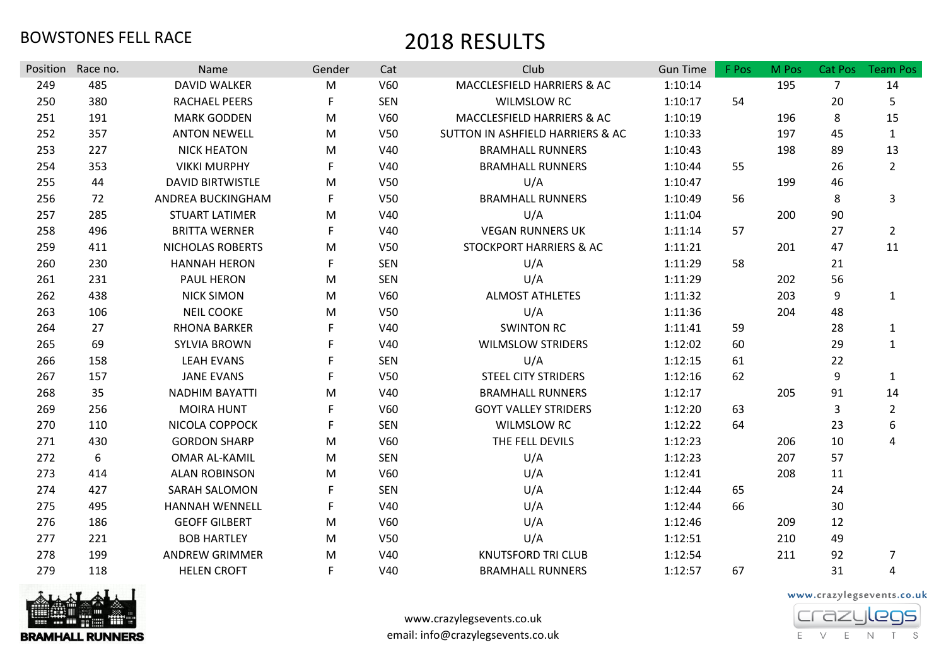| Race no.<br>Name<br>Gender<br>Position<br>485<br><b>DAVID WALKER</b><br>249<br>M<br>250<br>380<br>RACHAEL PEERS<br>F | Cat<br>V60<br><b>SEN</b> | Club<br>MACCLESFIELD HARRIERS & AC<br><b>WILMSLOW RC</b> | <b>Gun Time</b><br>1:10:14 | F Pos | M Pos<br>195 | Cat Pos          | <b>Team Pos</b> |
|----------------------------------------------------------------------------------------------------------------------|--------------------------|----------------------------------------------------------|----------------------------|-------|--------------|------------------|-----------------|
|                                                                                                                      |                          |                                                          |                            |       |              |                  |                 |
|                                                                                                                      |                          |                                                          |                            |       |              | $\overline{7}$   | 14              |
|                                                                                                                      |                          |                                                          | 1:10:17                    | 54    |              | 20               | 5               |
| 251<br>191<br><b>MARK GODDEN</b><br>M                                                                                | V60                      | MACCLESFIELD HARRIERS & AC                               | 1:10:19                    |       | 196          | 8                | 15              |
| 252<br>357<br><b>ANTON NEWELL</b><br>M                                                                               | V <sub>50</sub>          | SUTTON IN ASHFIELD HARRIERS & AC                         | 1:10:33                    |       | 197          | 45               | $\mathbf{1}$    |
| 227<br>253<br><b>NICK HEATON</b><br>M                                                                                | V40                      | <b>BRAMHALL RUNNERS</b>                                  | 1:10:43                    |       | 198          | 89               | 13              |
| 254<br>353<br><b>VIKKI MURPHY</b><br>F                                                                               | V40                      | <b>BRAMHALL RUNNERS</b>                                  | 1:10:44                    | 55    |              | 26               | $\overline{2}$  |
| 255<br>44<br><b>DAVID BIRTWISTLE</b><br>M                                                                            | V50                      | U/A                                                      | 1:10:47                    |       | 199          | 46               |                 |
| 256<br>72<br>ANDREA BUCKINGHAM<br>F                                                                                  | V50                      | <b>BRAMHALL RUNNERS</b>                                  | 1:10:49                    | 56    |              | 8                | 3               |
| 257<br>285<br><b>STUART LATIMER</b><br>М                                                                             | V40                      | U/A                                                      | 1:11:04                    |       | 200          | 90               |                 |
| 258<br>496<br>F<br><b>BRITTA WERNER</b>                                                                              | V40                      | <b>VEGAN RUNNERS UK</b>                                  | 1:11:14                    | 57    |              | 27               | $2^{\circ}$     |
| 259<br>411<br>NICHOLAS ROBERTS<br>М                                                                                  | V50                      | <b>STOCKPORT HARRIERS &amp; AC</b>                       | 1:11:21                    |       | 201          | 47               | 11              |
| 260<br>230<br><b>HANNAH HERON</b><br>F                                                                               | <b>SEN</b>               | U/A                                                      | 1:11:29                    | 58    |              | 21               |                 |
| 261<br>231<br>PAUL HERON<br>M                                                                                        | <b>SEN</b>               | U/A                                                      | 1:11:29                    |       | 202          | 56               |                 |
| 262<br>438<br>M<br><b>NICK SIMON</b>                                                                                 | V60                      | <b>ALMOST ATHLETES</b>                                   | 1:11:32                    |       | 203          | $\boldsymbol{9}$ | 1               |
| 263<br>106<br><b>NEIL COOKE</b><br>M                                                                                 | V <sub>50</sub>          | U/A                                                      | 1:11:36                    |       | 204          | 48               |                 |
| 264<br>27<br><b>RHONA BARKER</b><br>F                                                                                | V40                      | <b>SWINTON RC</b>                                        | 1:11:41                    | 59    |              | 28               | $\mathbf{1}$    |
| 69<br>265<br><b>SYLVIA BROWN</b>                                                                                     | V40                      | <b>WILMSLOW STRIDERS</b>                                 | 1:12:02                    | 60    |              | 29               | $\mathbf{1}$    |
| 266<br>158<br><b>LEAH EVANS</b><br>F.                                                                                | <b>SEN</b>               | U/A                                                      | 1:12:15                    | 61    |              | 22               |                 |
| 267<br>157<br><b>JANE EVANS</b>                                                                                      | V <sub>50</sub>          | <b>STEEL CITY STRIDERS</b>                               | 1:12:16                    | 62    |              | 9                | $\mathbf 1$     |
| 268<br>35<br><b>NADHIM BAYATTI</b><br>M                                                                              | V40                      | <b>BRAMHALL RUNNERS</b>                                  | 1:12:17                    |       | 205          | 91               | 14              |
| 269<br>256<br><b>MOIRA HUNT</b><br>F                                                                                 | V60                      | <b>GOYT VALLEY STRIDERS</b>                              | 1:12:20                    | 63    |              | $\overline{3}$   | $\overline{2}$  |
| 270<br>110<br>NICOLA COPPOCK<br>F                                                                                    | <b>SEN</b>               | <b>WILMSLOW RC</b>                                       | 1:12:22                    | 64    |              | 23               | 6               |
| 271<br>430<br><b>GORDON SHARP</b><br>M                                                                               | V60                      | THE FELL DEVILS                                          | 1:12:23                    |       | 206          | 10               | 4               |
| 272<br>6<br><b>OMAR AL-KAMIL</b><br>M                                                                                | <b>SEN</b>               | U/A                                                      | 1:12:23                    |       | 207          | 57               |                 |
| 273<br>414<br><b>ALAN ROBINSON</b><br>M                                                                              | V60                      | U/A                                                      | 1:12:41                    |       | 208          | 11               |                 |
| 427<br>274<br>F<br><b>SARAH SALOMON</b>                                                                              | <b>SEN</b>               | U/A                                                      | 1:12:44                    | 65    |              | 24               |                 |
| 275<br>495<br><b>HANNAH WENNELL</b><br>F                                                                             | V40                      | U/A                                                      | 1:12:44                    | 66    |              | 30               |                 |
| 276<br>186<br><b>GEOFF GILBERT</b><br>M                                                                              | V60                      | U/A                                                      | 1:12:46                    |       | 209          | 12               |                 |
| 221<br>277<br><b>BOB HARTLEY</b><br>M                                                                                | <b>V50</b>               | U/A                                                      | 1:12:51                    |       | 210          | 49               |                 |
| <b>ANDREW GRIMMER</b><br>278<br>199<br>M                                                                             | V40                      | <b>KNUTSFORD TRI CLUB</b>                                | 1:12:54                    |       | 211          | 92               | $\overline{7}$  |
| 279<br><b>HELEN CROFT</b><br>F<br>118                                                                                | V40                      | <b>BRAMHALL RUNNERS</b>                                  | 1:12:57                    | 67    |              | 31               | 4               |



www.crazylegsevents.co.uk email: info@crazylegsevents.co.uk

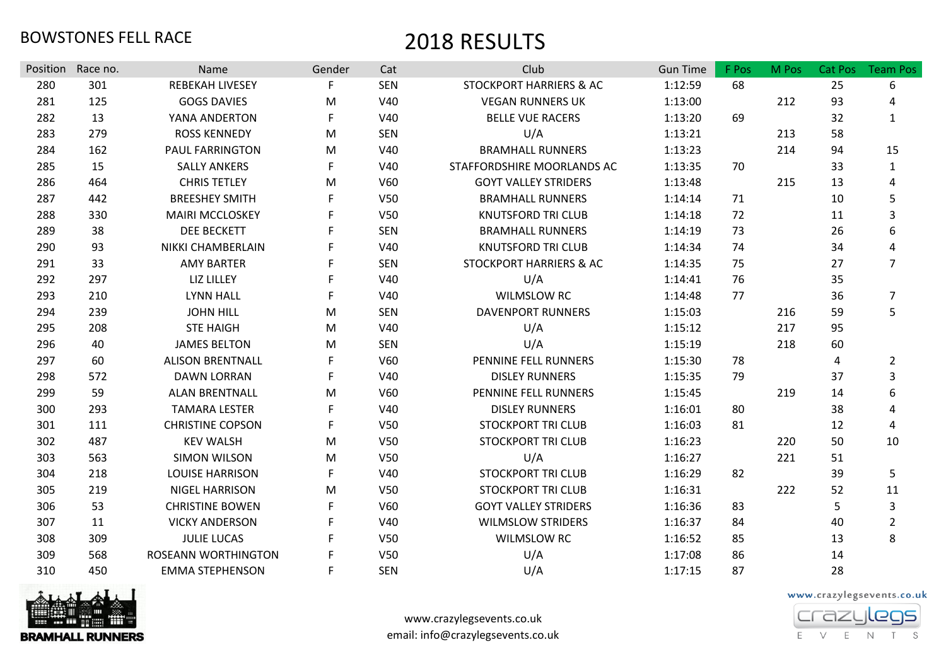| <b>Position</b> | Race no. | Name                    | Gender | Cat             | Club                               | <b>Gun Time</b> | F Pos | M Pos | <b>Cat Pos</b> | <b>Team Pos</b> |
|-----------------|----------|-------------------------|--------|-----------------|------------------------------------|-----------------|-------|-------|----------------|-----------------|
| 280             | 301      | <b>REBEKAH LIVESEY</b>  | F      | <b>SEN</b>      | <b>STOCKPORT HARRIERS &amp; AC</b> | 1:12:59         | 68    |       | 25             | 6               |
| 281             | 125      | <b>GOGS DAVIES</b>      | М      | V40             | <b>VEGAN RUNNERS UK</b>            | 1:13:00         |       | 212   | 93             | 4               |
| 282             | 13       | YANA ANDERTON           | F      | V40             | <b>BELLE VUE RACERS</b>            | 1:13:20         | 69    |       | 32             | $\mathbf{1}$    |
| 283             | 279      | <b>ROSS KENNEDY</b>     | M      | <b>SEN</b>      | U/A                                | 1:13:21         |       | 213   | 58             |                 |
| 284             | 162      | PAUL FARRINGTON         | M      | V40             | <b>BRAMHALL RUNNERS</b>            | 1:13:23         |       | 214   | 94             | 15              |
| 285             | 15       | <b>SALLY ANKERS</b>     | F      | V40             | STAFFORDSHIRE MOORLANDS AC         | 1:13:35         | 70    |       | 33             | 1               |
| 286             | 464      | <b>CHRIS TETLEY</b>     | M      | V60             | <b>GOYT VALLEY STRIDERS</b>        | 1:13:48         |       | 215   | 13             | 4               |
| 287             | 442      | <b>BREESHEY SMITH</b>   | F      | V50             | <b>BRAMHALL RUNNERS</b>            | 1:14:14         | 71    |       | 10             | 5               |
| 288             | 330      | <b>MAIRI MCCLOSKEY</b>  |        | V <sub>50</sub> | <b>KNUTSFORD TRI CLUB</b>          | 1:14:18         | 72    |       | 11             | 3               |
| 289             | 38       | <b>DEE BECKETT</b>      |        | <b>SEN</b>      | <b>BRAMHALL RUNNERS</b>            | 1:14:19         | 73    |       | 26             | 6               |
| 290             | 93       | NIKKI CHAMBERLAIN       |        | V40             | <b>KNUTSFORD TRI CLUB</b>          | 1:14:34         | 74    |       | 34             | 4               |
| 291             | 33       | <b>AMY BARTER</b>       |        | <b>SEN</b>      | STOCKPORT HARRIERS & AC            | 1:14:35         | 75    |       | 27             | $\overline{7}$  |
| 292             | 297      | <b>LIZ LILLEY</b>       |        | V40             | U/A                                | 1:14:41         | 76    |       | 35             |                 |
| 293             | 210      | <b>LYNN HALL</b>        |        | V40             | <b>WILMSLOW RC</b>                 | 1:14:48         | 77    |       | 36             | $\overline{7}$  |
| 294             | 239      | <b>JOHN HILL</b>        | M      | <b>SEN</b>      | <b>DAVENPORT RUNNERS</b>           | 1:15:03         |       | 216   | 59             | 5               |
| 295             | 208      | <b>STE HAIGH</b>        | M      | V40             | U/A                                | 1:15:12         |       | 217   | 95             |                 |
| 296             | 40       | <b>JAMES BELTON</b>     | M      | <b>SEN</b>      | U/A                                | 1:15:19         |       | 218   | 60             |                 |
| 297             | 60       | <b>ALISON BRENTNALL</b> | F.     | V60             | PENNINE FELL RUNNERS               | 1:15:30         | 78    |       | 4              | $\overline{2}$  |
| 298             | 572      | <b>DAWN LORRAN</b>      |        | V40             | <b>DISLEY RUNNERS</b>              | 1:15:35         | 79    |       | 37             | $\overline{3}$  |
| 299             | 59       | <b>ALAN BRENTNALL</b>   | M      | V60             | PENNINE FELL RUNNERS               | 1:15:45         |       | 219   | 14             | 6               |
| 300             | 293      | <b>TAMARA LESTER</b>    | F      | V40             | <b>DISLEY RUNNERS</b>              | 1:16:01         | 80    |       | 38             | 4               |
| 301             | 111      | <b>CHRISTINE COPSON</b> | F      | V50             | <b>STOCKPORT TRI CLUB</b>          | 1:16:03         | 81    |       | 12             | 4               |
| 302             | 487      | <b>KEV WALSH</b>        | М      | V50             | <b>STOCKPORT TRI CLUB</b>          | 1:16:23         |       | 220   | 50             | 10              |
| 303             | 563      | <b>SIMON WILSON</b>     | М      | V50             | U/A                                | 1:16:27         |       | 221   | 51             |                 |
| 304             | 218      | <b>LOUISE HARRISON</b>  | F      | V40             | <b>STOCKPORT TRI CLUB</b>          | 1:16:29         | 82    |       | 39             | 5               |
| 305             | 219      | NIGEL HARRISON          | М      | V <sub>50</sub> | <b>STOCKPORT TRI CLUB</b>          | 1:16:31         |       | 222   | 52             | 11              |
| 306             | 53       | <b>CHRISTINE BOWEN</b>  | F      | V60             | <b>GOYT VALLEY STRIDERS</b>        | 1:16:36         | 83    |       | 5              | 3               |
| 307             | 11       | <b>VICKY ANDERSON</b>   |        | V40             | <b>WILMSLOW STRIDERS</b>           | 1:16:37         | 84    |       | 40             | $\overline{2}$  |
| 308             | 309      | <b>JULIE LUCAS</b>      |        | V <sub>50</sub> | <b>WILMSLOW RC</b>                 | 1:16:52         | 85    |       | 13             | 8               |
| 309             | 568      | ROSEANN WORTHINGTON     |        | V50             | U/A                                | 1:17:08         | 86    |       | 14             |                 |
| 310             | 450      | <b>EMMA STEPHENSON</b>  | F      | <b>SEN</b>      | U/A                                | 1:17:15         | 87    |       | 28             |                 |



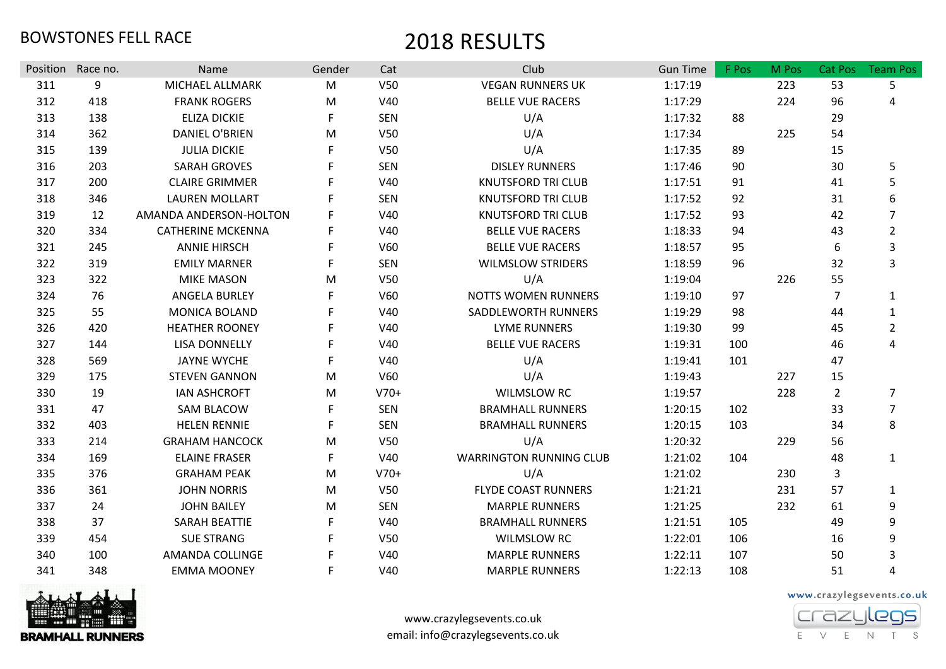|     | Position Race no. | Name                     | Gender | Cat             | Club                           | <b>Gun Time</b> | F Pos | M Pos | Cat Pos        | <b>Team Pos</b> |
|-----|-------------------|--------------------------|--------|-----------------|--------------------------------|-----------------|-------|-------|----------------|-----------------|
| 311 | 9                 | MICHAEL ALLMARK          | M      | V50             | <b>VEGAN RUNNERS UK</b>        | 1:17:19         |       | 223   | 53             | 5               |
| 312 | 418               | <b>FRANK ROGERS</b>      | M      | V40             | <b>BELLE VUE RACERS</b>        | 1:17:29         |       | 224   | 96             | 4               |
| 313 | 138               | <b>ELIZA DICKIE</b>      | F      | <b>SEN</b>      | U/A                            | 1:17:32         | 88    |       | 29             |                 |
| 314 | 362               | <b>DANIEL O'BRIEN</b>    | M      | V50             | U/A                            | 1:17:34         |       | 225   | 54             |                 |
| 315 | 139               | <b>JULIA DICKIE</b>      |        | V50             | U/A                            | 1:17:35         | 89    |       | 15             |                 |
| 316 | 203               | <b>SARAH GROVES</b>      |        | <b>SEN</b>      | <b>DISLEY RUNNERS</b>          | 1:17:46         | 90    |       | 30             | 5               |
| 317 | 200               | <b>CLAIRE GRIMMER</b>    |        | V40             | <b>KNUTSFORD TRI CLUB</b>      | 1:17:51         | 91    |       | 41             | 5               |
| 318 | 346               | <b>LAUREN MOLLART</b>    |        | <b>SEN</b>      | <b>KNUTSFORD TRI CLUB</b>      | 1:17:52         | 92    |       | 31             | 6               |
| 319 | 12                | AMANDA ANDERSON-HOLTON   | F      | V40             | <b>KNUTSFORD TRI CLUB</b>      | 1:17:52         | 93    |       | 42             | $\overline{7}$  |
| 320 | 334               | <b>CATHERINE MCKENNA</b> | F      | V40             | <b>BELLE VUE RACERS</b>        | 1:18:33         | 94    |       | 43             | $\overline{2}$  |
| 321 | 245               | <b>ANNIE HIRSCH</b>      |        | V60             | <b>BELLE VUE RACERS</b>        | 1:18:57         | 95    |       | 6              | 3               |
| 322 | 319               | <b>EMILY MARNER</b>      | F.     | <b>SEN</b>      | <b>WILMSLOW STRIDERS</b>       | 1:18:59         | 96    |       | 32             | 3               |
| 323 | 322               | <b>MIKE MASON</b>        | M      | V <sub>50</sub> | U/A                            | 1:19:04         |       | 226   | 55             |                 |
| 324 | 76                | <b>ANGELA BURLEY</b>     |        | V60             | <b>NOTTS WOMEN RUNNERS</b>     | 1:19:10         | 97    |       | $\overline{7}$ | $\mathbf{1}$    |
| 325 | 55                | <b>MONICA BOLAND</b>     |        | V40             | SADDLEWORTH RUNNERS            | 1:19:29         | 98    |       | 44             | $\mathbf{1}$    |
| 326 | 420               | <b>HEATHER ROONEY</b>    | E      | V40             | <b>LYME RUNNERS</b>            | 1:19:30         | 99    |       | 45             | $\overline{2}$  |
| 327 | 144               | <b>LISA DONNELLY</b>     |        | V40             | <b>BELLE VUE RACERS</b>        | 1:19:31         | 100   |       | 46             | 4               |
| 328 | 569               | <b>JAYNE WYCHE</b>       | F.     | V40             | U/A                            | 1:19:41         | 101   |       | 47             |                 |
| 329 | 175               | <b>STEVEN GANNON</b>     | M      | V60             | U/A                            | 1:19:43         |       | 227   | 15             |                 |
| 330 | 19                | <b>IAN ASHCROFT</b>      | M      | $V70+$          | <b>WILMSLOW RC</b>             | 1:19:57         |       | 228   | $\overline{2}$ | 7               |
| 331 | 47                | <b>SAM BLACOW</b>        | F.     | <b>SEN</b>      | <b>BRAMHALL RUNNERS</b>        | 1:20:15         | 102   |       | 33             | $\overline{7}$  |
| 332 | 403               | <b>HELEN RENNIE</b>      | F      | <b>SEN</b>      | <b>BRAMHALL RUNNERS</b>        | 1:20:15         | 103   |       | 34             | 8               |
| 333 | 214               | <b>GRAHAM HANCOCK</b>    | M      | V50             | U/A                            | 1:20:32         |       | 229   | 56             |                 |
| 334 | 169               | <b>ELAINE FRASER</b>     | F      | V40             | <b>WARRINGTON RUNNING CLUB</b> | 1:21:02         | 104   |       | 48             | $\mathbf{1}$    |
| 335 | 376               | <b>GRAHAM PEAK</b>       | M      | $V70+$          | U/A                            | 1:21:02         |       | 230   | 3              |                 |
| 336 | 361               | <b>JOHN NORRIS</b>       | M      | V50             | <b>FLYDE COAST RUNNERS</b>     | 1:21:21         |       | 231   | 57             | $\mathbf{1}$    |
| 337 | 24                | <b>JOHN BAILEY</b>       | M      | <b>SEN</b>      | <b>MARPLE RUNNERS</b>          | 1:21:25         |       | 232   | 61             | 9               |
| 338 | 37                | <b>SARAH BEATTIE</b>     | F      | V40             | <b>BRAMHALL RUNNERS</b>        | 1:21:51         | 105   |       | 49             | 9               |
| 339 | 454               | <b>SUE STRANG</b>        |        | V50             | <b>WILMSLOW RC</b>             | 1:22:01         | 106   |       | 16             | 9               |
| 340 | 100               | <b>AMANDA COLLINGE</b>   |        | V40             | <b>MARPLE RUNNERS</b>          | 1:22:11         | 107   |       | 50             | 3               |
| 341 | 348               | <b>EMMA MOONEY</b>       | F      | V40             | <b>MARPLE RUNNERS</b>          | 1:22:13         | 108   |       | 51             | 4               |



www.crazylegsevents.co.uk email: info@crazylegsevents.co.uk

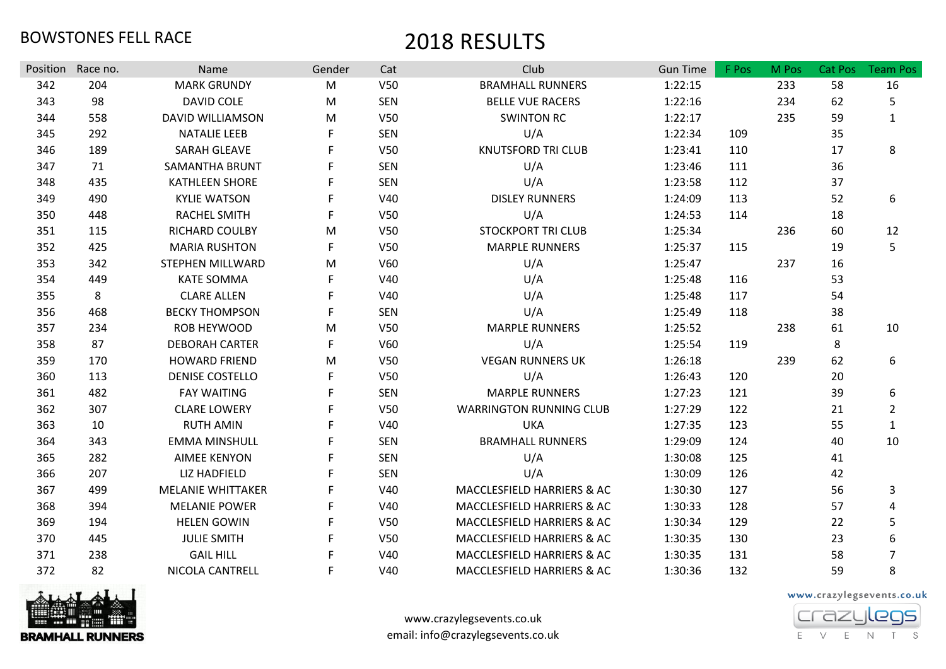| Position | Race no. | Name                     | Gender    | Cat             | Club                           | <b>Gun Time</b> | F Pos | M Pos | Cat Pos | <b>Team Pos</b> |
|----------|----------|--------------------------|-----------|-----------------|--------------------------------|-----------------|-------|-------|---------|-----------------|
| 342      | 204      | <b>MARK GRUNDY</b>       | M         | V <sub>50</sub> | <b>BRAMHALL RUNNERS</b>        | 1:22:15         |       | 233   | 58      | 16              |
| 343      | 98       | DAVID COLE               | ${\sf M}$ | <b>SEN</b>      | <b>BELLE VUE RACERS</b>        | 1:22:16         |       | 234   | 62      | 5               |
| 344      | 558      | <b>DAVID WILLIAMSON</b>  | M         | V50             | <b>SWINTON RC</b>              | 1:22:17         |       | 235   | 59      | $\mathbf{1}$    |
| 345      | 292      | <b>NATALIE LEEB</b>      | F         | <b>SEN</b>      | U/A                            | 1:22:34         | 109   |       | 35      |                 |
| 346      | 189      | <b>SARAH GLEAVE</b>      |           | V50             | <b>KNUTSFORD TRI CLUB</b>      | 1:23:41         | 110   |       | 17      | 8               |
| 347      | 71       | SAMANTHA BRUNT           |           | <b>SEN</b>      | U/A                            | 1:23:46         | 111   |       | 36      |                 |
| 348      | 435      | KATHLEEN SHORE           | F         | <b>SEN</b>      | U/A                            | 1:23:58         | 112   |       | 37      |                 |
| 349      | 490      | <b>KYLIE WATSON</b>      |           | V40             | <b>DISLEY RUNNERS</b>          | 1:24:09         | 113   |       | 52      | 6               |
| 350      | 448      | <b>RACHEL SMITH</b>      | F         | V <sub>50</sub> | U/A                            | 1:24:53         | 114   |       | 18      |                 |
| 351      | 115      | RICHARD COULBY           | M         | V <sub>50</sub> | <b>STOCKPORT TRI CLUB</b>      | 1:25:34         |       | 236   | 60      | 12              |
| 352      | 425      | <b>MARIA RUSHTON</b>     | F         | V50             | <b>MARPLE RUNNERS</b>          | 1:25:37         | 115   |       | 19      | 5               |
| 353      | 342      | STEPHEN MILLWARD         | M         | V60             | U/A                            | 1:25:47         |       | 237   | 16      |                 |
| 354      | 449      | <b>KATE SOMMA</b>        |           | V40             | U/A                            | 1:25:48         | 116   |       | 53      |                 |
| 355      | 8        | <b>CLARE ALLEN</b>       |           | V40             | U/A                            | 1:25:48         | 117   |       | 54      |                 |
| 356      | 468      | <b>BECKY THOMPSON</b>    | F         | <b>SEN</b>      | U/A                            | 1:25:49         | 118   |       | 38      |                 |
| 357      | 234      | <b>ROB HEYWOOD</b>       | M         | V <sub>50</sub> | <b>MARPLE RUNNERS</b>          | 1:25:52         |       | 238   | 61      | 10              |
| 358      | 87       | <b>DEBORAH CARTER</b>    | F         | V60             | U/A                            | 1:25:54         | 119   |       | 8       |                 |
| 359      | 170      | <b>HOWARD FRIEND</b>     | M         | V <sub>50</sub> | <b>VEGAN RUNNERS UK</b>        | 1:26:18         |       | 239   | 62      | 6               |
| 360      | 113      | <b>DENISE COSTELLO</b>   |           | V <sub>50</sub> | U/A                            | 1:26:43         | 120   |       | 20      |                 |
| 361      | 482      | <b>FAY WAITING</b>       | F         | <b>SEN</b>      | <b>MARPLE RUNNERS</b>          | 1:27:23         | 121   |       | 39      | 6               |
| 362      | 307      | <b>CLARE LOWERY</b>      |           | V <sub>50</sub> | <b>WARRINGTON RUNNING CLUB</b> | 1:27:29         | 122   |       | 21      | $\overline{2}$  |
| 363      | 10       | <b>RUTH AMIN</b>         |           | V40             | <b>UKA</b>                     | 1:27:35         | 123   |       | 55      | $\mathbf{1}$    |
| 364      | 343      | <b>EMMA MINSHULL</b>     |           | <b>SEN</b>      | <b>BRAMHALL RUNNERS</b>        | 1:29:09         | 124   |       | 40      | 10              |
| 365      | 282      | <b>AIMEE KENYON</b>      |           | <b>SEN</b>      | U/A                            | 1:30:08         | 125   |       | 41      |                 |
| 366      | 207      | <b>LIZ HADFIELD</b>      |           | <b>SEN</b>      | U/A                            | 1:30:09         | 126   |       | 42      |                 |
| 367      | 499      | <b>MELANIE WHITTAKER</b> |           | V40             | MACCLESFIELD HARRIERS & AC     | 1:30:30         | 127   |       | 56      | $\mathbf{3}$    |
| 368      | 394      | <b>MELANIE POWER</b>     |           | V40             | MACCLESFIELD HARRIERS & AC     | 1:30:33         | 128   |       | 57      | 4               |
| 369      | 194      | <b>HELEN GOWIN</b>       |           | V50             | MACCLESFIELD HARRIERS & AC     | 1:30:34         | 129   |       | 22      | 5               |
| 370      | 445      | <b>JULIE SMITH</b>       | F         | <b>V50</b>      | MACCLESFIELD HARRIERS & AC     | 1:30:35         | 130   |       | 23      | 6               |
| 371      | 238      | <b>GAIL HILL</b>         |           | V40             | MACCLESFIELD HARRIERS & AC     | 1:30:35         | 131   |       | 58      | $\overline{7}$  |
| 372      | 82       | NICOLA CANTRELL          | F         | V40             | MACCLESFIELD HARRIERS & AC     | 1:30:36         | 132   |       | 59      | 8               |